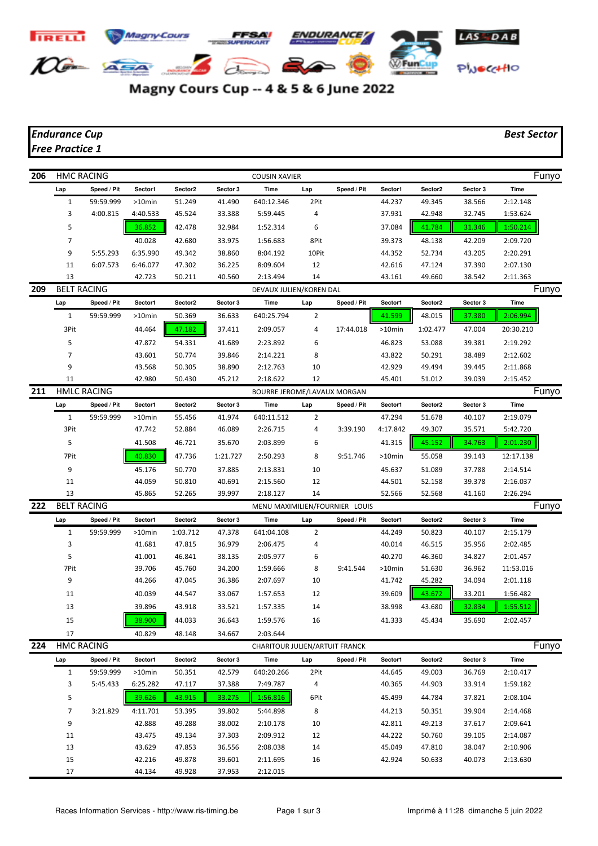

## Magny Cours Cup -- 4 & 5 & 6 June 2022

## *Endurance Cup Best Sector Free Practice 1*

**206** HMC RACING **COUSIN XAVIER** COUSIN XAVIER Lap Speed / Pit Sector1 Sector2 Sector 3 Time Lap Speed / Pit Sector1 Sector2 Sector 3 Time 1 59:59.999 >10min 51.249 41.490 640:12.346 2Pit 44.237 49.345 38.566 2:12.148 3 4:00.815 4:40.533 45.524 33.388 5:59.445 4 37.931 42.948 32.745 1:53.624 5 36.852 42.478 32.984 1:52.314 6 37.084 41.784 31.346 1:50.214 7 40.028 42.680 33.975 1:56.683 8Pit 39.373 48.138 42.209 2:09.720 9 5:55.293 6:35.990 49.342 38.860 8:04.192 10Pit 44.352 52.734 43.205 2:20.291 11 6:07.573 6:46.077 47.302 36.225 8:09.604 12 42.616 47.124 37.390 2:07.130 13 42.723 50.211 40.560 2:13.494 14 43.161 49.660 38.542 2:11.363 **209 BELT RACING CONTRACT CONTRACT AND REVAUX JULIEN/KOREN DAL CONTRACT CONTRACT DEVAUX DEVAUX JULIEN/KOREN DAL** Lap Speed / Pit Sector1 Sector2 Sector 3 Time Lap Speed / Pit Sector1 Sector2 Sector 3 Time 1 59:59.999 >10min 50.369 36.633 640:25.794 2 41.599 48.015 37.380 2:06.994 3Pit 44.464 <mark>| 47.182 |</mark> 37.411 2:09.057 4 17:44.018 >10min 1:02.477 47.004 20:30.210 5 47.872 54.331 41.689 2:23.892 6 46.823 53.088 39.381 2:19.292 7 43.601 50.774 39.846 2:14.221 8 43.822 50.291 38.489 2:12.602 9 43.568 50.305 38.890 2:12.763 10 42.929 49.494 39.445 2:11.868 11 42.980 50.430 45.212 2:18.622 12 45.401 51.012 39.039 2:15.452 **211 HMLC RACING CONTROLLATION** BOURRE JEROME/LAVAUX MORGAN **FUNYO** Lap Speed / Pit Sector1 Sector2 Sector 3 Time Lap Speed / Pit Sector1 Sector2 Sector 3 Time 1 59:59.999 >10min 55.456 41.974 640:11.512 2 47.294 51.678 40.107 2:19.079 3Pit 47.742 52.884 46.089 2:26.715 4 3:39.190 4:17.842 49.307 35.571 5:42.720 5 41.508 46.721 35.670 2:03.899 6 41.315 45.152 34.763 2:01.230 7Pit 40.830 47.736 1:21.727 2:50.293 8 9:51.746 >10min 55.058 39.143 12:17.138 9 45.176 50.770 37.885 2:13.831 10 45.637 51.089 37.788 2:14.514 11 44.059 50.810 40.691 2:15.560 12 44.501 52.158 39.378 2:16.037 13 45.865 52.265 39.997 2:18.127 14 52.566 52.568 41.160 2:26.294 **222 BELT RACING CONTROLS AND MENU MAXIMILIEN/FOURNIER LOUIS FUNYOR RESERVED FUNYOR RESERVED FUNYOR RESERVED FUNYOR Lap Speed / Pit Sector1 Sector2 Sector 3 Time Lap Speed / Pit Sector1 Sector2 Sector 3 Time** 1 59:59.999 >10min 1:03.712 47.378 641:04.108 2 44.249 50.823 40.107 2:15.179 3 41.681 47.815 36.979 2:06.475 4 40.014 46.515 35.956 2:02.485 5 41.001 46.841 38.135 2:05.977 6 40.270 46.360 34.827 2:01.457 7Pit 39.706 45.760 34.200 1:59.666 8 9:41.544 >10min 51.630 36.962 11:53.016 9 44.266 47.045 36.386 2:07.697 10 41.742 45.282 34.094 2:01.118 11 40.039 44.547 33.067 1:57.653 12 39.609 43.672 33.201 1:56.482 13 39.896 43.918 33.521 1:57.335 14 38.998 43.680 32.834 1:55.512 15 38.900 44.033 36.643 1:59.576 16 41.333 45.434 35.690 2:02.457 17 40.829 48.148 34.667 2:03.644 **224 HMC RACING CHARITOUR JULIEN/ARTUIT FRANCK CHARITOUR JULIEN/ARTUIT FRANCK Lap Speed / Pit Sector1 Sector2 Sector 3 Time Lap Speed / Pit Sector1 Sector2 Sector 3 Time** 1 59:59.999 >10min 50.351 42.579 640:20.266 2Pit 44.645 49.003 36.769 2:10.417 3 5:45.433 6:25.282 47.117 37.388 7:49.787 4 40.365 44.903 33.914 1:59.182 5 39.626 **4** 39.626 4 39.104 33.275 1:56.816 6Pit 45.499 44.784 37.821 2:08.104 7 3:21.829 4:11.701 53.395 39.802 5:44.898 8 44.213 50.351 39.904 2:14.468 9 42.888 49.288 38.002 2:10.178 10 42.811 49.213 37.617 2:09.641 11 43.475 49.134 37.303 2:09.912 12 44.222 50.760 39.105 2:14.087 13 43.629 47.853 36.556 2:08.038 14 45.049 47.810 38.047 2:10.906

17 44.134 49.928 37.953 2:12.015

15 42.216 49.878 39.601 2:11.695 16 42.924 50.633 40.073 2:13.630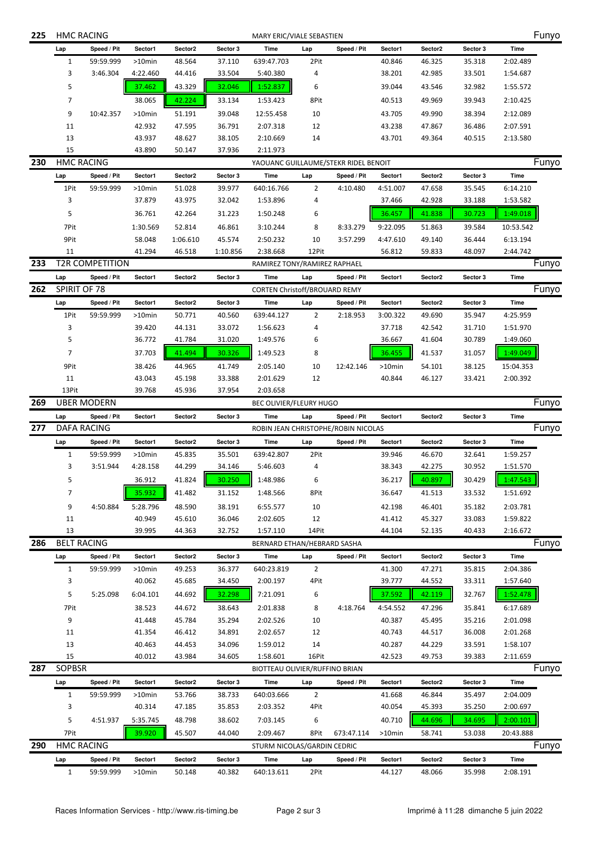| 225 | <b>HMC RACING</b><br>MARY ERIC/VIALE SEBASTIEN |                          |                      |                                      |                    |                                |                |                                     |                   |                   | Funyo              |                  |       |
|-----|------------------------------------------------|--------------------------|----------------------|--------------------------------------|--------------------|--------------------------------|----------------|-------------------------------------|-------------------|-------------------|--------------------|------------------|-------|
|     | Lap                                            | Speed / Pit              | Sector1              | Sector2                              | Sector 3           | Time                           | Lap            | Speed / Pit                         | Sector1           | Sector2           | Sector 3           | Time             |       |
|     | $\mathbf{1}$                                   | 59:59.999                | $>10$ min            | 48.564                               | 37.110             | 639:47.703                     | 2Pit           |                                     | 40.846            | 46.325            | 35.318             | 2:02.489         |       |
|     | 3                                              | 3:46.304                 | 4:22.460             | 44.416                               | 33.504             | 5:40.380                       | 4              |                                     | 38.201            | 42.985            | 33.501             | 1:54.687         |       |
|     | 5                                              |                          | 37.462               | 43.329                               | 32.046             | 1:52.837                       | 6              |                                     | 39.044            | 43.546            | 32.982             | 1:55.572         |       |
|     | 7                                              |                          | 38.065               | 42.224                               | 33.134             | 1:53.423                       | 8Pit           |                                     | 40.513            | 49.969            | 39.943             | 2:10.425         |       |
|     | 9                                              | 10:42.357                | $>10$ min            | 51.191                               | 39.048             | 12:55.458                      | 10             |                                     | 43.705            | 49.990            | 38.394             | 2:12.089         |       |
|     | 11                                             |                          | 42.932               | 47.595                               | 36.791             | 2:07.318                       | 12             |                                     | 43.238            | 47.867            | 36.486             | 2:07.591         |       |
|     | 13                                             |                          | 43.937               | 48.627                               | 38.105             | 2:10.669                       | 14             |                                     | 43.701            | 49.364            | 40.515             | 2:13.580         |       |
|     | 15                                             |                          | 43.890               | 50.147                               | 37.936             | 2:11.973                       |                |                                     |                   |                   |                    |                  |       |
| 230 |                                                | <b>HMC RACING</b>        |                      | YAOUANC GUILLAUME/STEKR RIDEL BENOIT |                    |                                |                |                                     |                   |                   |                    | Funyo            |       |
|     | Lap                                            | Speed / Pit              | Sector1              | Sector2                              | Sector 3           | Time                           | Lap            | Speed / Pit                         | Sector1           | Sector2           | Sector 3           | <b>Time</b>      |       |
|     | 1Pit                                           | 59:59.999                | >10min               | 51.028                               | 39.977             | 640:16.766                     | $\overline{2}$ | 4:10.480                            | 4:51.007          | 47.658            | 35.545             | 6:14.210         |       |
|     | 3                                              |                          | 37.879               | 43.975                               | 32.042             | 1:53.896                       | 4              |                                     | 37.466            | 42.928            | 33.188             | 1:53.582         |       |
|     | 5                                              |                          | 36.761               | 42.264                               | 31.223             | 1:50.248                       | 6              |                                     | 36.457            | 41.838            | 30.723             | 1:49.018         |       |
|     | 7Pit                                           |                          | 1:30.569             | 52.814                               | 46.861             | 3:10.244                       | 8              | 8:33.279                            | 9:22.095          | 51.863            | 39.584             | 10:53.542        |       |
|     | 9Pit                                           |                          | 58.048               | 1:06.610                             | 45.574             | 2:50.232                       | 10             | 3:57.299                            | 4:47.610          | 49.140            | 36.444             | 6:13.194         |       |
|     | 11                                             |                          | 41.294               | 46.518                               | 1:10.856           | 2:38.668                       | 12Pit          |                                     | 56.812            | 59.833            | 48.097             | 2:44.742         |       |
| 233 |                                                | <b>T2R COMPETITION</b>   |                      |                                      |                    | RAMIREZ TONY/RAMIREZ RAPHAEL   |                |                                     |                   |                   |                    |                  | Funyo |
|     | Lap                                            | Speed / Pit              | Sector1              | Sector2                              | Sector 3           | Time                           | Lap            | Speed / Pit                         | Sector1           | Sector2           | Sector 3           | Time             |       |
| 262 | SPIRIT OF 78                                   |                          |                      |                                      |                    | CORTEN Christoff/BROUARD REMY  |                |                                     |                   |                   |                    |                  | Funyo |
|     | Lap                                            | Speed / Pit              | Sector1              | Sector2                              | Sector 3           | Time                           | Lap            | Speed / Pit                         | Sector1           | Sector2           | Sector 3           | Time             |       |
|     | 1Pit                                           | 59:59.999                | >10min               | 50.771                               | 40.560             | 639:44.127                     | $\overline{2}$ | 2:18.953                            | 3:00.322          | 49.690            | 35.947             | 4:25.959         |       |
|     | 3<br>5                                         |                          | 39.420               | 44.131<br>41.784                     | 33.072             | 1:56.623                       | 4              |                                     | 37.718            | 42.542            | 31.710             | 1:51.970         |       |
|     | $\overline{7}$                                 |                          | 36.772               |                                      | 31.020             | 1:49.576                       | 6              |                                     | 36.667            | 41.604            | 30.789             | 1:49.060         |       |
|     |                                                |                          | 37.703               | 41.494                               | 30.326             | 1:49.523                       | 8              |                                     | 36.455            | 41.537            | 31.057             | 1:49.049         |       |
|     | 9Pit                                           |                          | 38.426               | 44.965                               | 41.749             | 2:05.140                       | 10             | 12:42.146                           | >10min            | 54.101            | 38.125             | 15:04.353        |       |
|     | 11<br>13Pit                                    |                          | 43.043<br>39.768     | 45.198<br>45.936                     | 33.388<br>37.954   | 2:01.629<br>2:03.658           | 12             |                                     | 40.844            | 46.127            | 33.421             | 2:00.392         |       |
| 269 |                                                | <b>UBER MODERN</b>       |                      |                                      |                    | <b>BEC OLIVIER/FLEURY HUGO</b> |                |                                     |                   |                   |                    |                  | Funyo |
|     | Lap                                            | Speed / Pit              | Sector1              | Sector2                              | Sector 3           | Time                           | Lap            | Speed / Pit                         | Sector1           | Sector2           | Sector 3           | Time             |       |
| 277 |                                                | <b>DAFA RACING</b>       |                      |                                      |                    |                                |                | ROBIN JEAN CHRISTOPHE/ROBIN NICOLAS |                   |                   |                    |                  | Funyo |
|     | Lap                                            | Speed / Pit              | Sector1              | Sector2                              | Sector 3           | Time                           | Lap            | Speed / Pit                         | Sector1           | Sector2           | Sector 3           | Time             |       |
|     | $\mathbf{1}$                                   | 59:59.999                | >10min               | 45.835                               | 35.501             | 639:42.807                     | 2Pit           |                                     | 39.946            | 46.670            | 32.641             | 1:59.257         |       |
|     | 3                                              | 3:51.944                 | 4:28.158             | 44.299                               | 34.146             | 5:46.603                       | 4              |                                     | 38.343            | 42.275            | 30.952             | 1:51.570         |       |
|     | 5                                              |                          | 36.912               | 41.824                               | 30.250             | 1:48.986                       | 6              |                                     | 36.217            | 40.897            | 30.429             | 1:47.543         |       |
|     | 7                                              |                          | 35.932               | 41.482                               | 31.152             | 1:48.566                       | 8Pit           |                                     | 36.647            | 41.513            | 33.532             | 1:51.692         |       |
|     | 9                                              | 4:50.884                 | 5:28.796             | 48.590                               | 38.191             | 6:55.577                       | 10             |                                     | 42.198            | 46.401            | 35.182             | 2:03.781         |       |
|     | 11                                             |                          | 40.949               | 45.610                               | 36.046             | 2:02.605                       | 12             |                                     | 41.412            | 45.327            | 33.083             | 1:59.822         |       |
|     | 13                                             |                          | 39.995               | 44.363                               | 32.752             | 1:57.110                       | 14Pit          |                                     | 44.104            | 52.135            | 40.433             | 2:16.672         |       |
| 286 |                                                | <b>BELT RACING</b>       |                      |                                      |                    | BERNARD ETHAN/HEBRARD SASHA    |                |                                     |                   |                   |                    |                  | Funyo |
|     | Lap                                            | Speed / Pit              | Sector1              | Sector2                              | Sector 3           | Time                           | Lap            | Speed / Pit                         | Sector1           | Sector2           | Sector 3           | Time             |       |
|     | $\mathbf{1}$                                   | 59:59.999                | >10min               | 49.253                               | 36.377             | 640:23.819                     | $\overline{2}$ |                                     | 41.300            | 47.271            | 35.815             | 2:04.386         |       |
|     |                                                |                          |                      |                                      |                    |                                |                |                                     |                   |                   |                    |                  |       |
|     | 3                                              |                          | 40.062               | 45.685                               | 34.450             | 2:00.197                       | 4Pit           |                                     | 39.777            | 44.552            | 33.311             | 1:57.640         |       |
|     | 5                                              | 5:25.098                 | 6:04.101             | 44.692                               | 32.298             | 7:21.091                       | 6              |                                     | 37.592            | 42.119            | 32.767             | 1:52.478         |       |
|     | 7Pit                                           |                          | 38.523               | 44.672                               | 38.643             | 2:01.838                       | 8              | 4:18.764                            | 4:54.552          | 47.296            | 35.841             | 6:17.689         |       |
|     | 9                                              |                          | 41.448               | 45.784                               | 35.294             | 2:02.526                       | 10             |                                     | 40.387            | 45.495            | 35.216             | 2:01.098         |       |
|     | 11                                             |                          | 41.354               | 46.412                               | 34.891             | 2:02.657                       | 12             |                                     | 40.743            | 44.517            | 36.008             | 2:01.268         |       |
|     | 13                                             |                          | 40.463               | 44.453                               | 34.096             | 1:59.012                       | 14             |                                     | 40.287            | 44.229            | 33.591             | 1:58.107         |       |
|     | 15                                             |                          | 40.012               | 43.984                               | 34.605             | 1:58.601                       | 16Pit          |                                     | 42.523            | 49.753            | 39.383             | 2:11.659         |       |
| 287 | SOPBSR                                         |                          |                      |                                      |                    | BIOTTEAU OLIVIER/RUFFINO BRIAN |                |                                     |                   |                   |                    |                  | Funyo |
|     | Lap                                            | Speed / Pit              | Sector1              | Sector2                              | Sector 3           | Time                           | Lap            | Speed / Pit                         | Sector1           | Sector2           | Sector 3           | Time             |       |
|     | $\mathbf{1}$                                   | 59:59.999                | >10min               | 53.766                               | 38.733             | 640:03.666                     | $\overline{2}$ |                                     | 41.668            | 46.844            | 35.497             | 2:04.009         |       |
|     | 3                                              |                          | 40.314               | 47.185                               | 35.853             | 2:03.352                       | 4Pit           |                                     | 40.054            | 45.393            | 35.250             | 2:00.697         |       |
|     | 5                                              | 4:51.937                 | 5:35.745             | 48.798                               | 38.602             | 7:03.145                       | 6              |                                     | 40.710            | 44.696            | 34.695             | 2:00.101         |       |
|     | 7Pit                                           |                          | 39.920               | 45.507                               | 44.040             | 2:09.467                       | 8Pit           | 673:47.114                          | >10min            | 58.741            | 53.038             | 20:43.888        |       |
| 290 |                                                | <b>HMC RACING</b>        |                      |                                      |                    | STURM NICOLAS/GARDIN CEDRIC    |                |                                     |                   |                   |                    |                  | Funyo |
|     | Lap<br>$\mathbf{1}$                            | Speed / Pit<br>59:59.999 | Sector1<br>$>10$ min | Sector2<br>50.148                    | Sector 3<br>40.382 | Time<br>640:13.611             | Lap<br>2Pit    | Speed / Pit                         | Sector1<br>44.127 | Sector2<br>48.066 | Sector 3<br>35.998 | Time<br>2:08.191 |       |